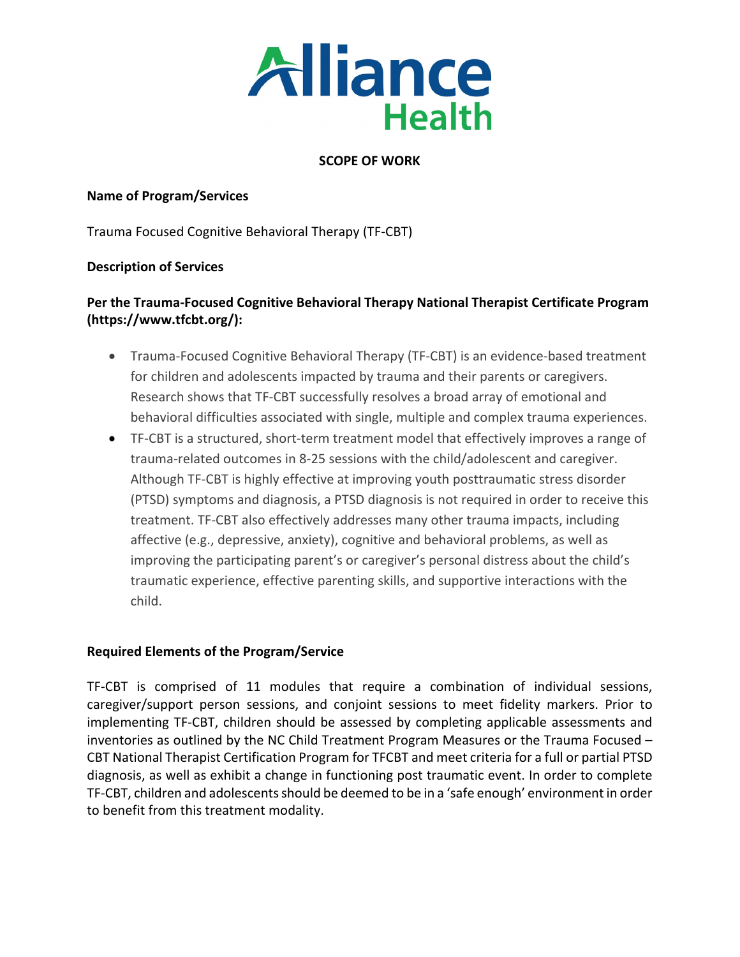

## **SCOPE OF WORK**

## **Name of Program/Services**

Trauma Focused Cognitive Behavioral Therapy (TF-CBT)

## **Description of Services**

# **Per the Trauma-Focused Cognitive Behavioral Therapy National Therapist Certificate Program (https://www.tfcbt.org/):**

- Trauma-Focused Cognitive Behavioral Therapy (TF-CBT) is an evidence-based treatment for children and adolescents impacted by trauma and their parents or caregivers. Research shows that TF-CBT successfully resolves a broad array of emotional and behavioral difficulties associated with single, multiple and complex trauma experiences.
- TF-CBT is a structured, short-term treatment model that effectively improves a range of trauma-related outcomes in 8-25 sessions with the child/adolescent and caregiver. Although TF-CBT is highly effective at improving youth posttraumatic stress disorder (PTSD) symptoms and diagnosis, a PTSD diagnosis is not required in order to receive this treatment. TF-CBT also effectively addresses many other trauma impacts, including affective (e.g., depressive, anxiety), cognitive and behavioral problems, as well as improving the participating parent's or caregiver's personal distress about the child's traumatic experience, effective parenting skills, and supportive interactions with the child.

## **Required Elements of the Program/Service**

TF-CBT is comprised of 11 modules that require a combination of individual sessions, caregiver/support person sessions, and conjoint sessions to meet fidelity markers. Prior to implementing TF-CBT, children should be assessed by completing applicable assessments and inventories as outlined by the NC Child Treatment Program Measures or the Trauma Focused – CBT National Therapist Certification Program for TFCBT and meet criteria for a full or partial PTSD diagnosis, as well as exhibit a change in functioning post traumatic event. In order to complete TF-CBT, children and adolescents should be deemed to be in a 'safe enough' environment in order to benefit from this treatment modality.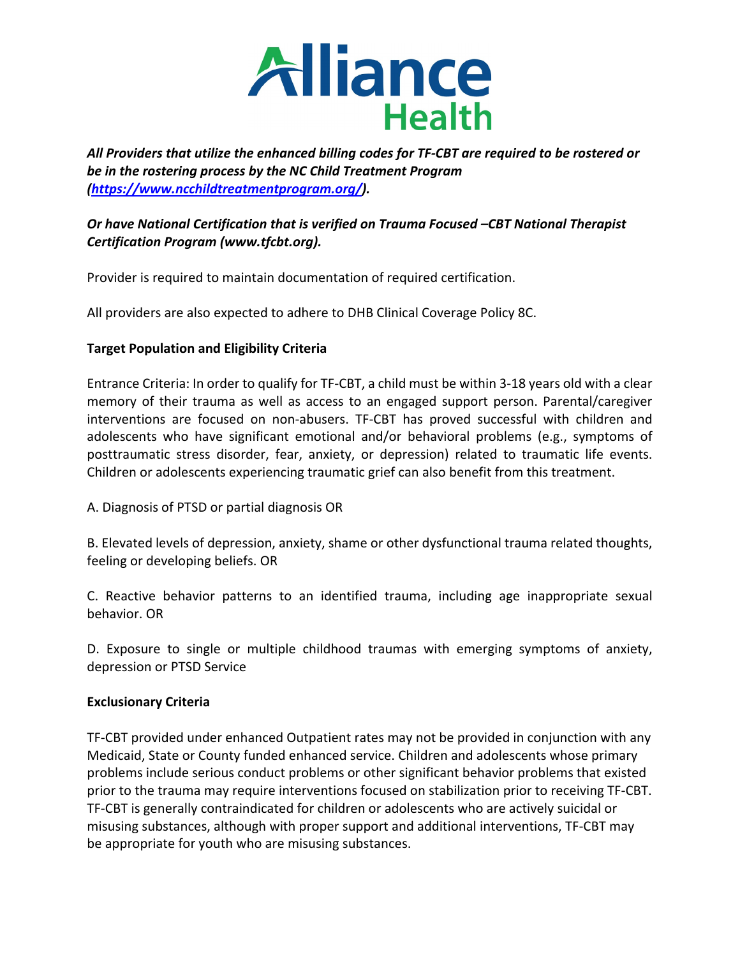

*All Providers that utilize the enhanced billing codes for TF-CBT are required to be rostered or be in the rostering process by the NC Child Treatment Program [\(https://www.ncchildtreatmentprogram.org/\)](https://www.ncchildtreatmentprogram.org/).* 

## *Or have National Certification that is verified on Trauma Focused –CBT National Therapist Certification Program (www.tfcbt.org).*

Provider is required to maintain documentation of required certification.

All providers are also expected to adhere to DHB Clinical Coverage Policy 8C.

## **Target Population and Eligibility Criteria**

Entrance Criteria: In order to qualify for TF-CBT, a child must be within 3-18 years old with a clear memory of their trauma as well as access to an engaged support person. Parental/caregiver interventions are focused on non-abusers. TF-CBT has proved successful with children and adolescents who have significant emotional and/or behavioral problems (e.g., symptoms of posttraumatic stress disorder, fear, anxiety, or depression) related to traumatic life events. Children or adolescents experiencing traumatic grief can also benefit from this treatment.

A. Diagnosis of PTSD or partial diagnosis OR

B. Elevated levels of depression, anxiety, shame or other dysfunctional trauma related thoughts, feeling or developing beliefs. OR

C. Reactive behavior patterns to an identified trauma, including age inappropriate sexual behavior. OR

D. Exposure to single or multiple childhood traumas with emerging symptoms of anxiety, depression or PTSD Service

## **Exclusionary Criteria**

TF-CBT provided under enhanced Outpatient rates may not be provided in conjunction with any Medicaid, State or County funded enhanced service. Children and adolescents whose primary problems include serious conduct problems or other significant behavior problems that existed prior to the trauma may require interventions focused on stabilization prior to receiving TF-CBT. TF-CBT is generally contraindicated for children or adolescents who are actively suicidal or misusing substances, although with proper support and additional interventions, TF-CBT may be appropriate for youth who are misusing substances.